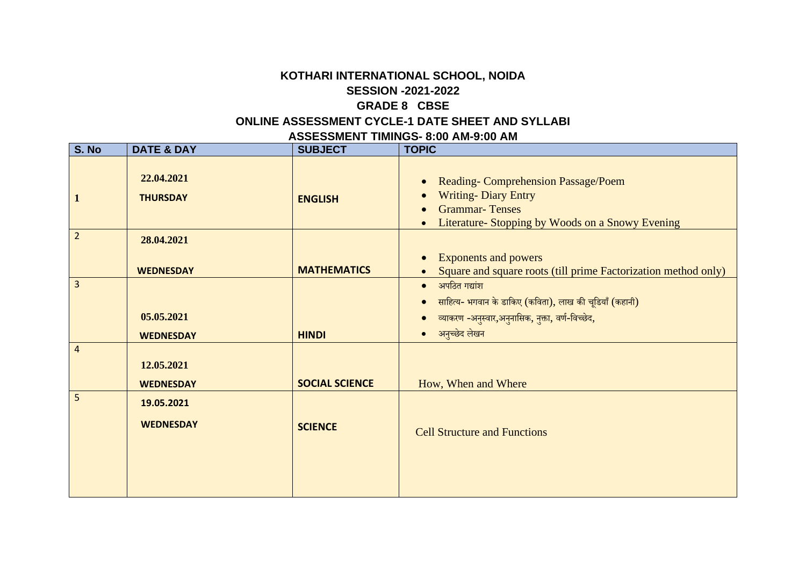## **KOTHARI INTERNATIONAL SCHOOL, NOIDA SESSION -2021-2022 GRADE 8 CBSE**

## **ONLINE ASSESSMENT CYCLE-1 DATE SHEET AND SYLLABI**

| <b>DATE &amp; DAY</b>          | <b>SUBJECT</b>        | <b>TOPIC</b>                                                                                                                                             |
|--------------------------------|-----------------------|----------------------------------------------------------------------------------------------------------------------------------------------------------|
| 22.04.2021<br><b>THURSDAY</b>  | <b>ENGLISH</b>        | <b>Reading-Comprehension Passage/Poem</b><br><b>Writing-Diary Entry</b><br><b>Grammar-Tenses</b><br>Literature- Stopping by Woods on a Snowy Evening     |
| 28.04.2021                     |                       | <b>Exponents and powers</b>                                                                                                                              |
|                                |                       | Square and square roots (till prime Factorization method only)                                                                                           |
| 05.05.2021<br><b>WEDNESDAY</b> | <b>HINDI</b>          | $\bullet$ अपठित गद्यांश<br>साहित्य- भगवान के डाकिए (कविता), लाख की चूडियाँ (कहानी)<br>व्याकरण -अनुस्वार,अनुनासिक, नुक्ता, वर्ण-विच्छेद,<br>अनुच्छेद लेखन |
| 12.05.2021<br><b>WEDNESDAY</b> | <b>SOCIAL SCIENCE</b> | How, When and Where                                                                                                                                      |
| 19.05.2021<br><b>WEDNESDAY</b> | <b>SCIENCE</b>        | <b>Cell Structure and Functions</b>                                                                                                                      |
|                                | <b>WEDNESDAY</b>      | <b>MATHEMATICS</b>                                                                                                                                       |